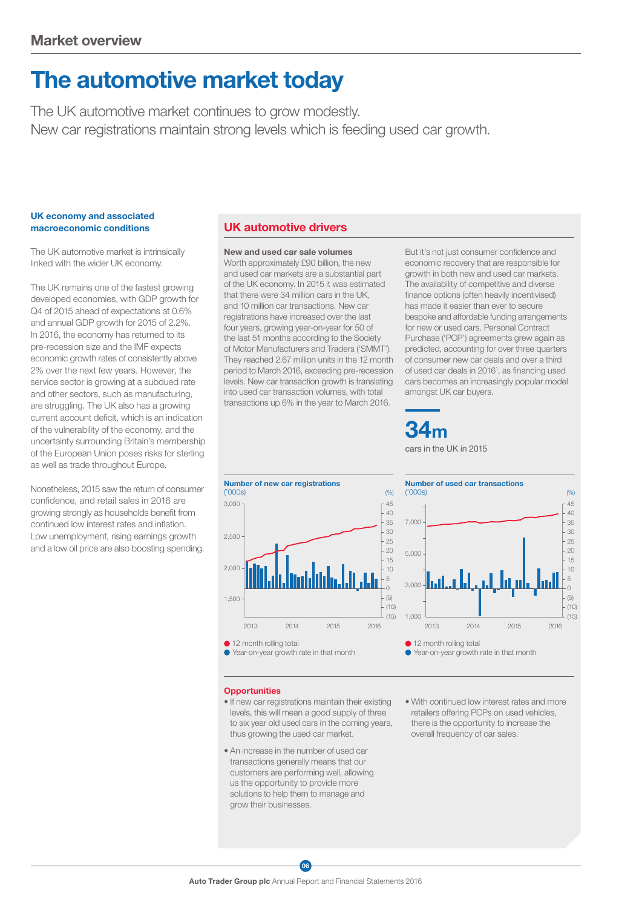# The automotive market today

The UK automotive market continues to grow modestly. New car registrations maintain strong levels which is feeding used car growth.

#### UK economy and associated macroeconomic conditions

The UK automotive market is intrinsically linked with the wider UK economy.

The UK remains one of the fastest growing developed economies, with GDP growth for Q4 of 2015 ahead of expectations at 0.6% and annual GDP growth for 2015 of 2.2%. In 2016, the economy has returned to its pre-recession size and the IMF expects economic growth rates of consistently above 2% over the next few years. However, the service sector is growing at a subdued rate and other sectors, such as manufacturing, are struggling. The UK also has a growing current account deficit, which is an indication of the vulnerability of the economy, and the uncertainty surrounding Britain's membership of the European Union poses risks for sterling as well as trade throughout Europe.

Nonetheless, 2015 saw the return of consumer confidence, and retail sales in 2016 are growing strongly as households benefit from continued low interest rates and inflation. Low unemployment, rising earnings growth and a low oil price are also boosting spending.

## UK automotive drivers

New and used car sale volumes Worth approximately £90 billion, the new and used car markets are a substantial part of the UK economy. In 2015 it was estimated that there were 34 million cars in the UK and 10 million car transactions. New car registrations have increased over the last four years, growing year-on-year for 50 of the last 51 months according to the Society of Motor Manufacturers and Traders ('SMMT'). They reached 2.67 million units in the 12 month period to March 2016, exceeding pre-recession levels. New car transaction growth is translating into used car transaction volumes, with total transactions up 6% in the year to March 2016.

But it's not just consumer confidence and economic recovery that are responsible for growth in both new and used car markets. The availability of competitive and diverse finance options (often heavily incentivised) has made it easier than ever to secure bespoke and affordable funding arrangements for new or used cars. Personal Contract Purchase ('PCP') agreements grew again as predicted, accounting for over three quarters of consumer new car deals and over a third of used car deals in 2016<sup>1</sup>, as financing used cars becomes an increasingly popular model amongst UK car buyers.

34m cars in the UK in 2015





- **Opportunities**
- If new car registrations maintain their existing levels, this will mean a good supply of three to six year old used cars in the coming years, thus growing the used car market.
- An increase in the number of used car transactions generally means that our customers are performing well, allowing us the opportunity to provide more solutions to help them to manage and grow their businesses.
- With continued low interest rates and more retailers offering PCPs on used vehicles, there is the opportunity to increase the overall frequency of car sales.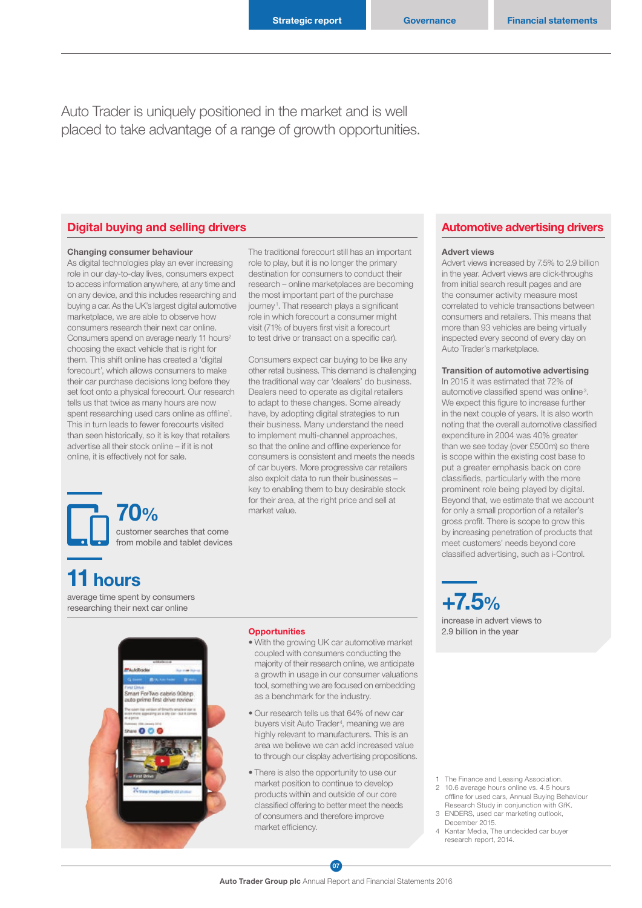The traditional forecourt still has an important role to play, but it is no longer the primary destination for consumers to conduct their research – online marketplaces are becoming the most important part of the purchase journey<sup>1</sup>. That research plays a significant role in which forecourt a consumer might visit (71% of buyers first visit a forecourt to test drive or transact on a specific car).

Consumers expect car buying to be like any other retail business. This demand is challenging the traditional way car 'dealers' do business. Dealers need to operate as digital retailers to adapt to these changes. Some already have, by adopting digital strategies to run their business. Many understand the need to implement multi-channel approaches, so that the online and offline experience for consumers is consistent and meets the needs of car buyers. More progressive car retailers also exploit data to run their businesses – key to enabling them to buy desirable stock for their area, at the right price and sell at

Auto Trader is uniquely positioned in the market and is well placed to take advantage of a range of growth opportunities.

### Digital buying and selling drivers **Automotive advertising drivers** Automotive advertising drivers

#### Changing consumer behaviour

As digital technologies play an ever increasing role in our day-to-day lives, consumers expect to access information anywhere, at any time and on any device, and this includes researching and buying a car. As the UK's largest digital automotive marketplace, we are able to observe how consumers research their next car online. Consumers spend on average nearly 11 hours<sup>2</sup> choosing the exact vehicle that is right for them. This shift online has created a 'digital forecourt', which allows consumers to make their car purchase decisions long before they set foot onto a physical forecourt. Our research tells us that twice as many hours are now spent researching used cars online as offline<sup>1</sup>. This in turn leads to fewer forecourts visited than seen historically, so it is key that retailers advertise all their stock online – if it is not online, it is effectively not for sale.

> 70% customer searches that come from mobile and tablet devices

# 11 hours

average time spent by consumers average time spent by consumers  $+7.5\%$ 



#### **Opportunities**

market value.

- With the growing UK car automotive market coupled with consumers conducting the majority of their research online, we anticipate a growth in usage in our consumer valuations tool, something we are focused on embedding as a benchmark for the industry.
- Our research tells us that 64% of new car buyers visit Auto Trader<sup>4</sup>, meaning we are highly relevant to manufacturers. This is an area we believe we can add increased value to through our display advertising propositions.
- There is also the opportunity to use our market position to continue to develop products within and outside of our core classified offering to better meet the needs of consumers and therefore improve market efficiency.

#### Advert views

Advert views increased by 7.5% to 2.9 billion in the year. Advert views are click-throughs from initial search result pages and are the consumer activity measure most correlated to vehicle transactions between consumers and retailers. This means that more than 93 vehicles are being virtually inspected every second of every day on Auto Trader's marketplace.

#### Transition of automotive advertising

In 2015 it was estimated that 72% of automotive classified spend was online<sup>3</sup>. We expect this figure to increase further in the next couple of years. It is also worth noting that the overall automotive classified expenditure in 2004 was 40% greater than we see today (over £500m) so there is scope within the existing cost base to put a greater emphasis back on core classifieds, particularly with the more prominent role being played by digital. Beyond that, we estimate that we account for only a small proportion of a retailer's gross profit. There is scope to grow this by increasing penetration of products that meet customers' needs beyond core classified advertising, such as i-Control.

increase in advert views to 2.9 billion in the year

- 1 The Finance and Leasing Association.
- 2 10.6 average hours online vs. 4.5 hours offline for used cars, Annual Buying Behaviour Research Study in conjunction with GfK.
- 3 ENDERS, used car marketing outlook, December 2015.
- 
- 4 Kantar Media, The undecided car buyer research report, 2014.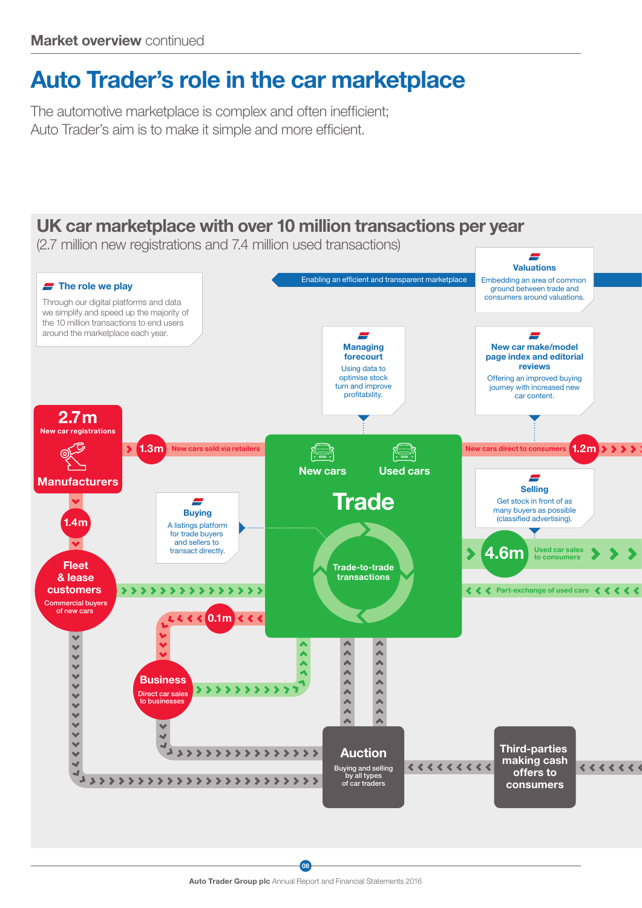# Auto Trader's role in the car marketplace

The automotive marketplace is complex and often inefficient; Auto Trader's aim is to make it simple and more efficient.

## UK car marketplace with over 10 million transactions per year

(2.7 million new registrations and 7.4 million used transactions)